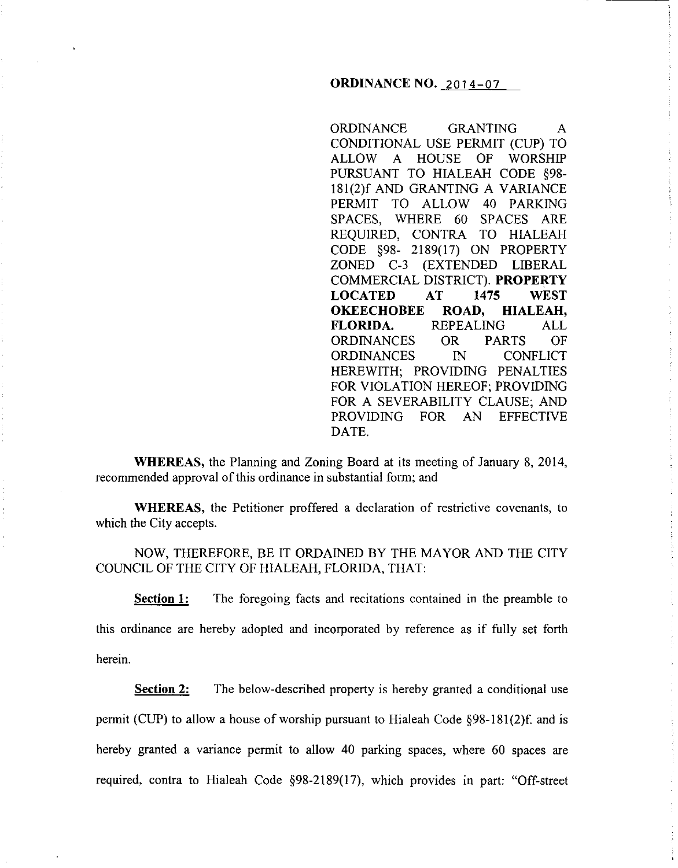# **ORDINANCE NO.** 2014-07

ORDINANCE GRANTING A CONDITIONAL USE PERMIT (CUP) TO ALLOW A HOUSE OF WORSHIP PURSUANT TO HIALEAH CODE §98- 181(2)f AND GRANTING A VARIANCE PERMIT TO ALLOW 40 PARKING SPACES, WHERE 60 SPACES ARE REQUIRED, CONTRA TO HIALEAH CODE §98- 2189(17) ON PROPERTY ZONED C-3 (EXTENDED LIBERAL COMMERCIAL DISTRICT). **PROPERTY LOCATED AT 1475 WEST OKEECHOBEE ROAD, HIALEAH, FLORIDA.** REPEALING ALL ORDINANCES OR PARTS OF ORDINANCES IN CONFLICT HEREWITH; PROVIDING PENALTIES FOR VIOLATION HEREOF; PROVIDING FOR A SEVERABILITY CLAUSE; AND PROVIDING FOR AN EFFECTIVE DATE.

**WHEREAS,** the Planning and Zoning Board at its meeting of January 8, 2014, recommended approval of this ordinance in substantial form; and

**WHEREAS,** the Petitioner proffered a declaration of restrictive covenants, to which the City accepts.

NOW, THEREFORE, BE IT ORDAINED BY THE MAYOR AND THE CITY COUNCIL OF THE CITY OF HIALEAH, FLORIDA, THAT:

**Section 1:** The foregoing facts and recitations contained in the preamble to this ordinance are hereby adopted and incorporated by reference as if fully set forth herein.

**Section 2:** The below-described property is hereby granted a conditional use permit (CUP) to allow a house of worship pursuant to Hialeah Code  $\S 98-181(2)$  f. and is hereby granted a variance permit to allow 40 parking spaces, where 60 spaces are required, contra to Hialeah Code §98-2189(17), which provides in part: "Off-street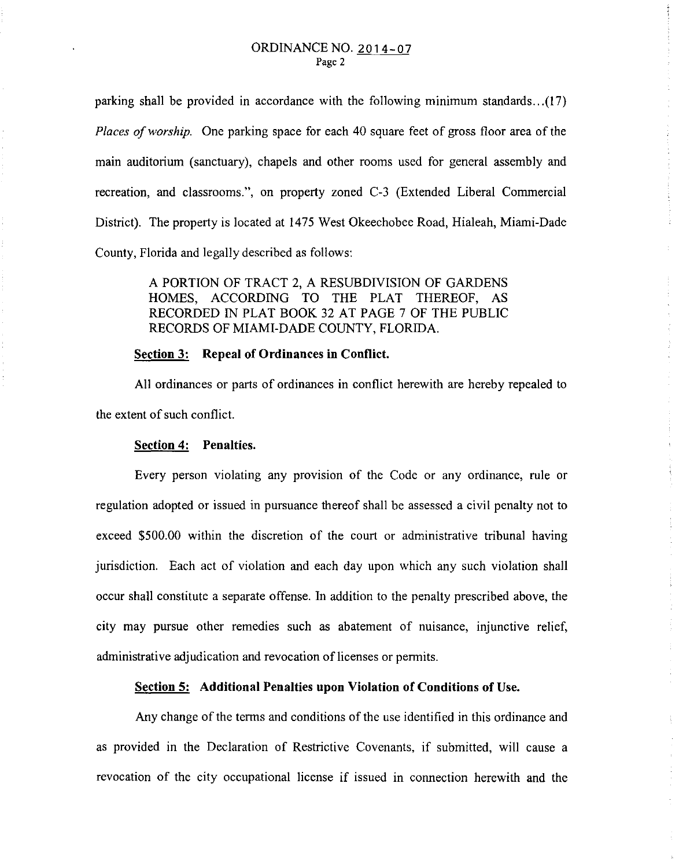parking shall be provided in accordance with the following minimum standards ... (17) *Places of worship.* One parking space for each 40 square feet of gross floor area of the main auditorium (sanctuary), chapels and other rooms used for general assembly and recreation, and classrooms.", on property zoned C-3 (Extended Liberal Commercial District). The property is located at 1475 West Okeechobee Road, Hialeah, Miami-Dade County, Florida and legally described as follows:

> A PORTION OF TRACT 2, A RESUBDIVISION OF GARDENS HOMES, ACCORDING TO THE PLAT THEREOF, AS RECORDED IN PLAT BOOK 32 AT PAGE 7 OF THE PUBLIC RECORDS OF MIAMI-DADE COUNTY, FLORIDA.

#### **Section 3: Repeal of Ordinances in Conflict.**

All ordinances or parts of ordinances in conflict herewith are hereby repealed to the extent of such conflict.

### **Section 4: Penalties.**

Every person violating any provision of the Code or any ordinance, rule or regulation adopted or issued in pursuance thereof shall be assessed a civil penalty not to exceed \$500.00 within the discretion of the court or administrative tribunal having jurisdiction. Each act of violation and each day upon which any such violation shall occur shall constitute a separate offense. In addition to the penalty prescribed above, the city may pursue other remedies such as abatement of nuisance, injunctive relief, administrative adjudication and revocation of licenses or permits.

### **Section 5: Additional Penalties upon Violation of Conditions of** Use.

Any change of the terms and conditions of the use identified in this ordinance and as provided in the Declaration of Restrictive Covenants, if submitted, will cause a revocation of the city occupational license if issued in connection herewith and the